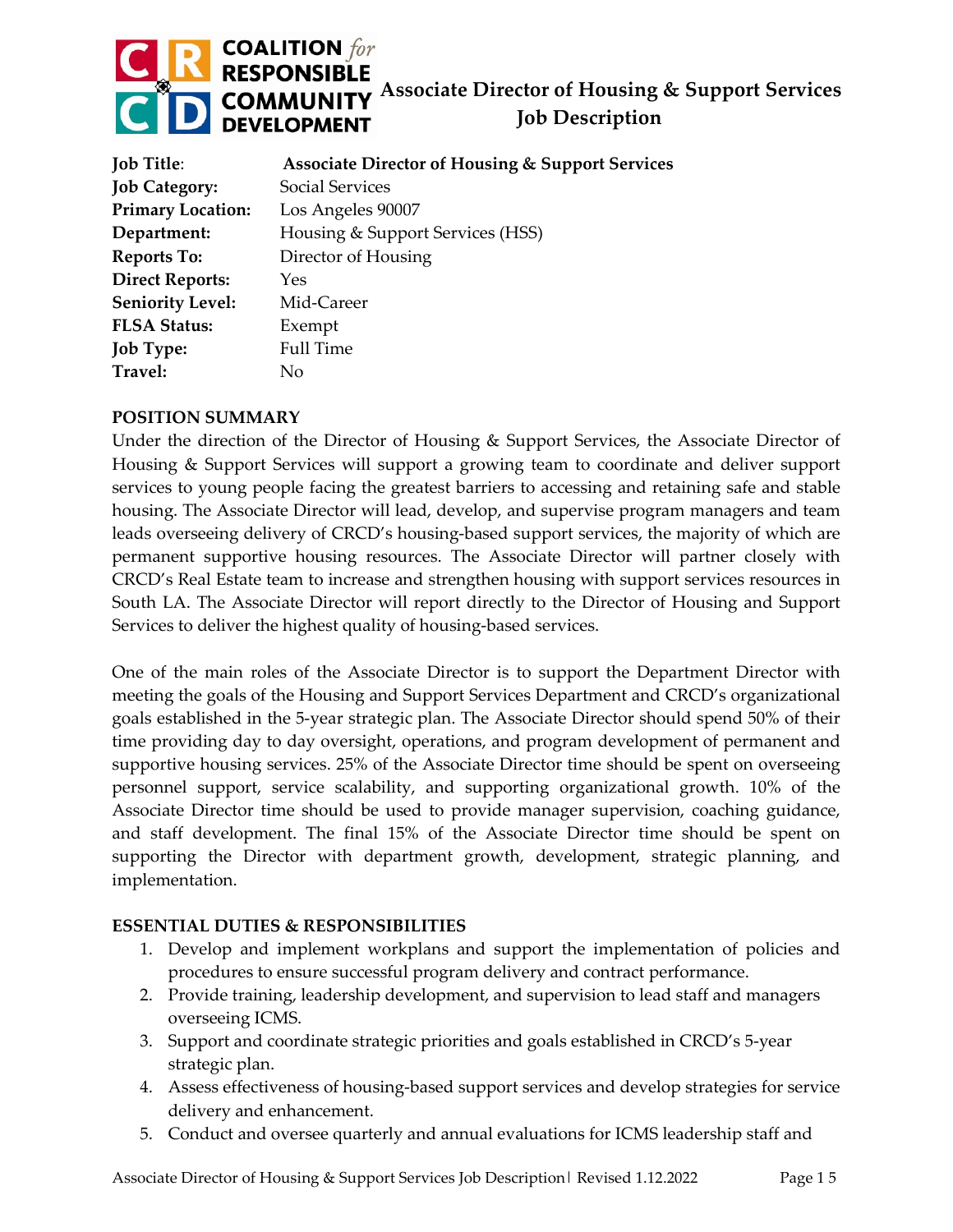## **COALITION** for<br> **RESPONSIBLE**<br> **COMMUNITY** Associate Director of Housing & Support Services **DEVELOPMENT Job Description**

| <b>Job Title:</b>        | <b>Associate Director of Housing &amp; Support Services</b> |
|--------------------------|-------------------------------------------------------------|
| <b>Job Category:</b>     | Social Services                                             |
| <b>Primary Location:</b> | Los Angeles 90007                                           |
| Department:              | Housing & Support Services (HSS)                            |
| <b>Reports To:</b>       | Director of Housing                                         |
| <b>Direct Reports:</b>   | Yes                                                         |
| <b>Seniority Level:</b>  | Mid-Career                                                  |
| <b>FLSA Status:</b>      | Exempt                                                      |
| <b>Job Type:</b>         | <b>Full Time</b>                                            |
| Travel:                  | No                                                          |

#### **POSITION SUMMARY**

Under the direction of the Director of Housing & Support Services, the Associate Director of Housing & Support Services will support a growing team to coordinate and deliver support services to young people facing the greatest barriers to accessing and retaining safe and stable housing. The Associate Director will lead, develop, and supervise program managers and team leads overseeing delivery of CRCD's housing-based support services, the majority of which are permanent supportive housing resources. The Associate Director will partner closely with CRCD's Real Estate team to increase and strengthen housing with support services resources in South LA. The Associate Director will report directly to the Director of Housing and Support Services to deliver the highest quality of housing-based services.

One of the main roles of the Associate Director is to support the Department Director with meeting the goals of the Housing and Support Services Department and CRCD's organizational goals established in the 5-year strategic plan. The Associate Director should spend 50% of their time providing day to day oversight, operations, and program development of permanent and supportive housing services. 25% of the Associate Director time should be spent on overseeing personnel support, service scalability, and supporting organizational growth. 10% of the Associate Director time should be used to provide manager supervision, coaching guidance, and staff development. The final 15% of the Associate Director time should be spent on supporting the Director with department growth, development, strategic planning, and implementation.

#### **ESSENTIAL DUTIES & RESPONSIBILITIES**

- 1. Develop and implement workplans and support the implementation of policies and procedures to ensure successful program delivery and contract performance.
- 2. Provide training, leadership development, and supervision to lead staff and managers overseeing ICMS.
- 3. Support and coordinate strategic priorities and goals established in CRCD's 5-year strategic plan.
- 4. Assess effectiveness of housing-based support services and develop strategies for service delivery and enhancement.
- 5. Conduct and oversee quarterly and annual evaluations for ICMS leadership staff and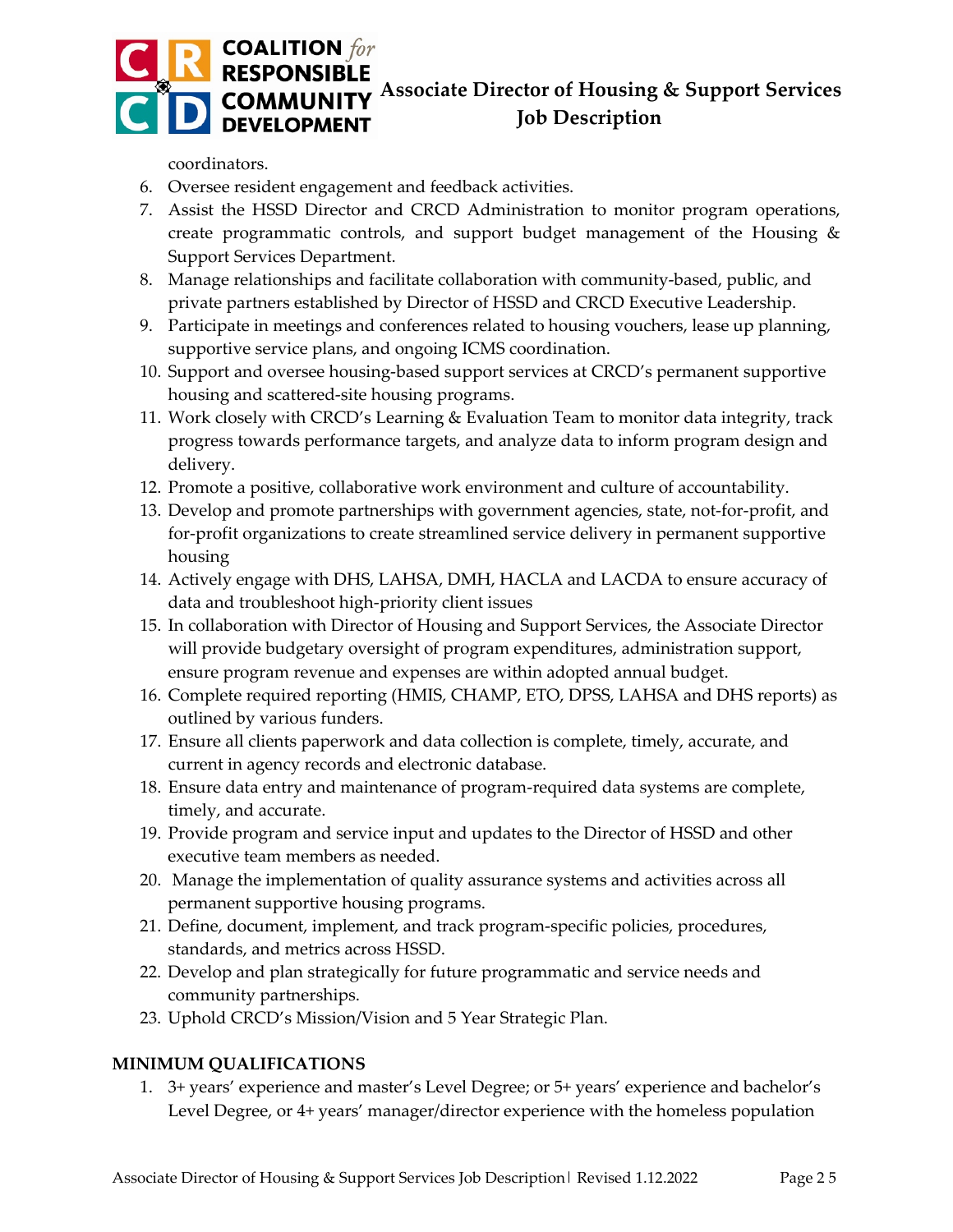## **COALITION** for<br>**RESPONSIBLE**<br>**COMMUNITY** Associate Director of Housing & Support Services  **Job Description DEVELOPMENT**

coordinators.

- 6. Oversee resident engagement and feedback activities.
- 7. Assist the HSSD Director and CRCD Administration to monitor program operations, create programmatic controls, and support budget management of the Housing & Support Services Department.
- 8. Manage relationships and facilitate collaboration with community-based, public, and private partners established by Director of HSSD and CRCD Executive Leadership.
- 9. Participate in meetings and conferences related to housing vouchers, lease up planning, supportive service plans, and ongoing ICMS coordination.
- 10. Support and oversee housing-based support services at CRCD's permanent supportive housing and scattered-site housing programs.
- 11. Work closely with CRCD's Learning & Evaluation Team to monitor data integrity, track progress towards performance targets, and analyze data to inform program design and delivery.
- 12. Promote a positive, collaborative work environment and culture of accountability.
- 13. Develop and promote partnerships with government agencies, state, not-for-profit, and for-profit organizations to create streamlined service delivery in permanent supportive housing
- 14. Actively engage with DHS, LAHSA, DMH, HACLA and LACDA to ensure accuracy of data and troubleshoot high-priority client issues
- 15. In collaboration with Director of Housing and Support Services, the Associate Director will provide budgetary oversight of program expenditures, administration support, ensure program revenue and expenses are within adopted annual budget.
- 16. Complete required reporting (HMIS, CHAMP, ETO, DPSS, LAHSA and DHS reports) as outlined by various funders.
- 17. Ensure all clients paperwork and data collection is complete, timely, accurate, and current in agency records and electronic database.
- 18. Ensure data entry and maintenance of program-required data systems are complete, timely, and accurate.
- 19. Provide program and service input and updates to the Director of HSSD and other executive team members as needed.
- 20. Manage the implementation of quality assurance systems and activities across all permanent supportive housing programs.
- 21. Define, document, implement, and track program-specific policies, procedures, standards, and metrics across HSSD.
- 22. Develop and plan strategically for future programmatic and service needs and community partnerships.
- 23. Uphold CRCD's Mission/Vision and 5 Year Strategic Plan.

#### **MINIMUM QUALIFICATIONS**

1. 3+ years' experience and master's Level Degree; or 5+ years' experience and bachelor's Level Degree, or 4+ years' manager/director experience with the homeless population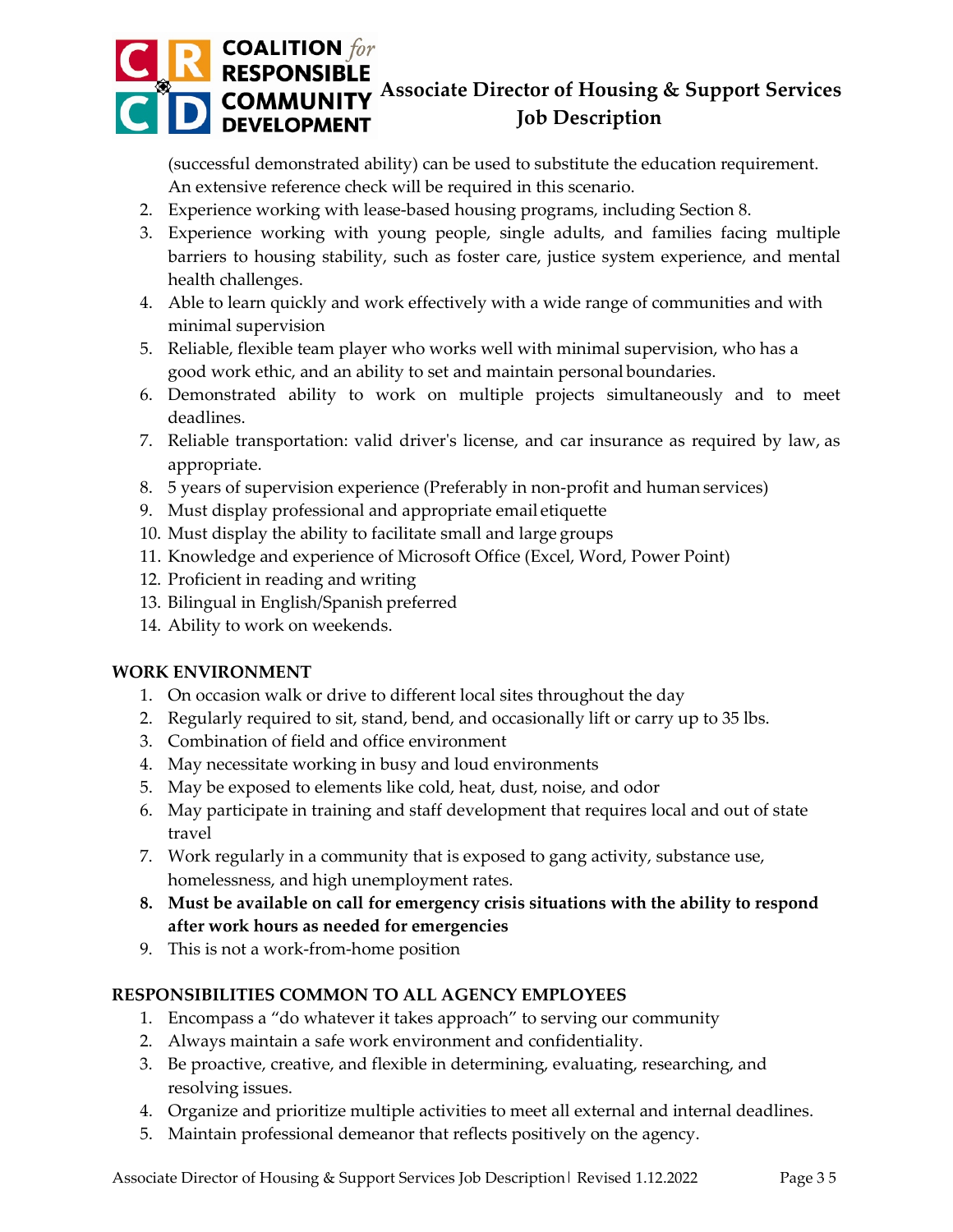# **COALITION** for<br>**RESPONSIBLE**<br>**COMMUNITY** Associate Director of Housing & Support Services **DEVELOPMENT** Job Description

(successful demonstrated ability) can be used to substitute the education requirement. An extensive reference check will be required in this scenario.

- 2. Experience working with lease-based housing programs, including Section 8.
- 3. Experience working with young people, single adults, and families facing multiple barriers to housing stability, such as foster care, justice system experience, and mental health challenges.
- 4. Able to learn quickly and work effectively with a wide range of communities and with minimal supervision
- 5. Reliable, flexible team player who works well with minimal supervision, who has a good work ethic, and an ability to set and maintain personal boundaries.
- 6. Demonstrated ability to work on multiple projects simultaneously and to meet deadlines.
- 7. Reliable transportation: valid driver's license, and car insurance as required by law, as appropriate.
- 8. 5 years of supervision experience (Preferably in non-profit and human services)
- 9. Must display professional and appropriate email etiquette
- 10. Must display the ability to facilitate small and large groups
- 11. Knowledge and experience of Microsoft Office (Excel, Word, Power Point)
- 12. Proficient in reading and writing
- 13. Bilingual in English/Spanish preferred
- 14. Ability to work on weekends.

#### **WORK ENVIRONMENT**

- 1. On occasion walk or drive to different local sites throughout the day
- 2. Regularly required to sit, stand, bend, and occasionally lift or carry up to 35 lbs.
- 3. Combination of field and office environment
- 4. May necessitate working in busy and loud environments
- 5. May be exposed to elements like cold, heat, dust, noise, and odor
- 6. May participate in training and staff development that requires local and out of state travel
- 7. Work regularly in a community that is exposed to gang activity, substance use, homelessness, and high unemployment rates.
- **8. Must be available on call for emergency crisis situations with the ability to respond after work hours as needed for emergencies**
- 9. This is not a work-from-home position

#### **RESPONSIBILITIES COMMON TO ALL AGENCY EMPLOYEES**

- 1. Encompass a "do whatever it takes approach" to serving our community
- 2. Always maintain a safe work environment and confidentiality.
- 3. Be proactive, creative, and flexible in determining, evaluating, researching, and resolving issues.
- 4. Organize and prioritize multiple activities to meet all external and internal deadlines.
- 5. Maintain professional demeanor that reflects positively on the agency.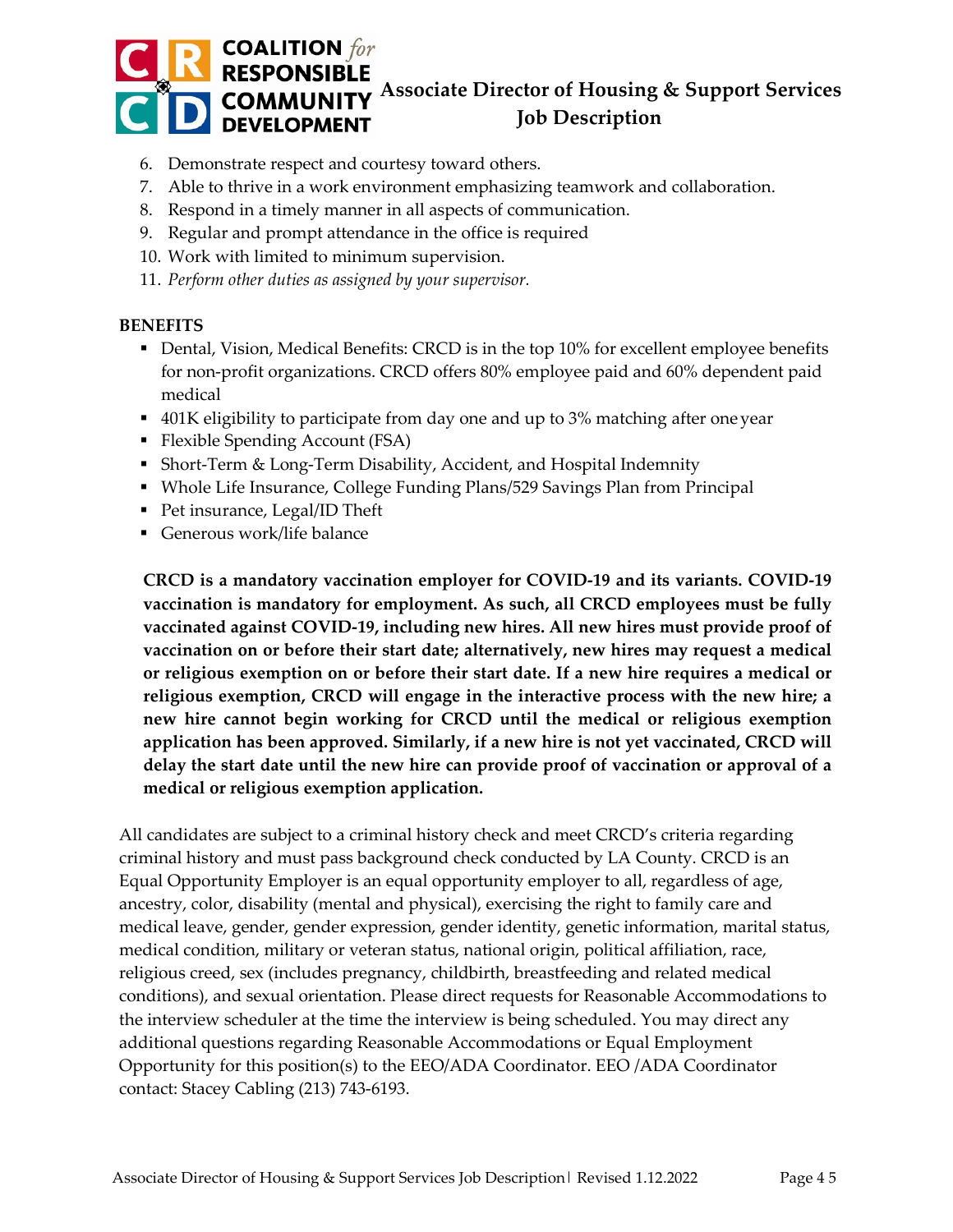### **COALITION** for<br> **RESPONSIBLE**<br> **COMMUNITY** Associate Director of Housing & Support Services **COMMUNITY Job Description DEVELOPMENT**

- 6. Demonstrate respect and courtesy toward others.
- 7. Able to thrive in a work environment emphasizing teamwork and collaboration.
- 8. Respond in a timely manner in all aspects of communication.
- 9. Regular and prompt attendance in the office is required
- 10. Work with limited to minimum supervision.
- 11. *Perform other duties as assigned by your supervisor.*

#### **BENEFITS**

- Dental, Vision, Medical Benefits: CRCD is in the top 10% for excellent employee benefits for non-profit organizations. CRCD offers 80% employee paid and 60% dependent paid medical
- 401K eligibility to participate from day one and up to 3% matching after one year
- Flexible Spending Account (FSA)
- Short-Term & Long-Term Disability, Accident, and Hospital Indemnity
- Whole Life Insurance, College Funding Plans/529 Savings Plan from Principal
- Pet insurance, Legal/ID Theft
- Generous work/life balance

**CRCD is a mandatory vaccination employer for COVID-19 and its variants. COVID-19 vaccination is mandatory for employment. As such, all CRCD employees must be fully vaccinated against COVID-19, including new hires. All new hires must provide proof of vaccination on or before their start date; alternatively, new hires may request a medical or religious exemption on or before their start date. If a new hire requires a medical or religious exemption, CRCD will engage in the interactive process with the new hire; a new hire cannot begin working for CRCD until the medical or religious exemption application has been approved. Similarly, if a new hire is not yet vaccinated, CRCD will delay the start date until the new hire can provide proof of vaccination or approval of a medical or religious exemption application.**

All candidates are subject to a criminal history check and meet CRCD's criteria regarding criminal history and must pass background check conducted by LA County. CRCD is an Equal Opportunity Employer is an equal opportunity employer to all, regardless of age, ancestry, color, disability (mental and physical), exercising the right to family care and medical leave, gender, gender expression, gender identity, genetic information, marital status, medical condition, military or veteran status, national origin, political affiliation, race, religious creed, sex (includes pregnancy, childbirth, breastfeeding and related medical conditions), and sexual orientation. Please direct requests for Reasonable Accommodations to the interview scheduler at the time the interview is being scheduled. You may direct any additional questions regarding Reasonable Accommodations or Equal Employment Opportunity for this position(s) to the EEO/ADA Coordinator. EEO /ADA Coordinator contact: Stacey Cabling (213) 743-6193.